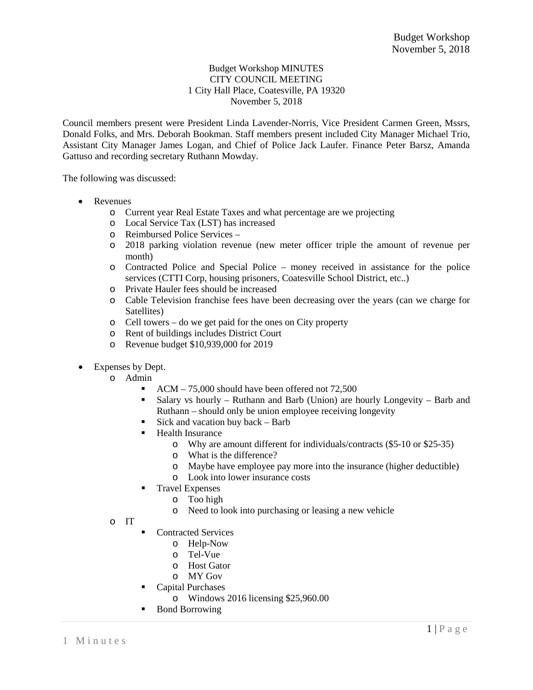## Budget Workshop MINUTES CITY COUNCIL MEETING 1 City Hall Place, Coatesville, PA 19320 November 5, 2018

Council members present were President Linda Lavender-Norris, Vice President Carmen Green, Mssrs, Donald Folks, and Mrs. Deborah Bookman. Staff members present included City Manager Michael Trio, Assistant City Manager James Logan, and Chief of Police Jack Laufer. Finance Peter Barsz, Amanda Gattuso and recording secretary Ruthann Mowday.

The following was discussed:

- Revenues
	- o Current year Real Estate Taxes and what percentage are we projecting
	- o Local Service Tax (LST) has increased
	- o Reimbursed Police Services –
	- o 2018 parking violation revenue (new meter officer triple the amount of revenue per month)
	- o Contracted Police and Special Police money received in assistance for the police services (CTTI Corp, housing prisoners, Coatesville School District, etc..)
	- o Private Hauler fees should be increased
	- o Cable Television franchise fees have been decreasing over the years (can we charge for Satellites)
	- o Cell towers do we get paid for the ones on City property
	- o Rent of buildings includes District Court
	- o Revenue budget \$10,939,000 for 2019
- Expenses by Dept.
	- o Admin
		- ACM 75,000 should have been offered not 72,500
		- Salary vs hourly Ruthann and Barb (Union) are hourly Longevity Barb and Ruthann – should only be union employee receiving longevity
		- Sick and vacation buy back Barb
		- Health Insurance
			- o Why are amount different for individuals/contracts (\$5-10 or \$25-35)
			- o What is the difference?
			- o Maybe have employee pay more into the insurance (higher deductible)
			- o Look into lower insurance costs
		- **Travel Expenses** 
			- o Too high
			- o Need to look into purchasing or leasing a new vehicle
	- o IT
- Contracted Services
	- o Help-Now
	- o Tel-Vue
	- o Host Gator
	- o MY Gov
- **Capital Purchases** 
	- o Windows 2016 licensing \$25,960.00
- Bond Borrowing